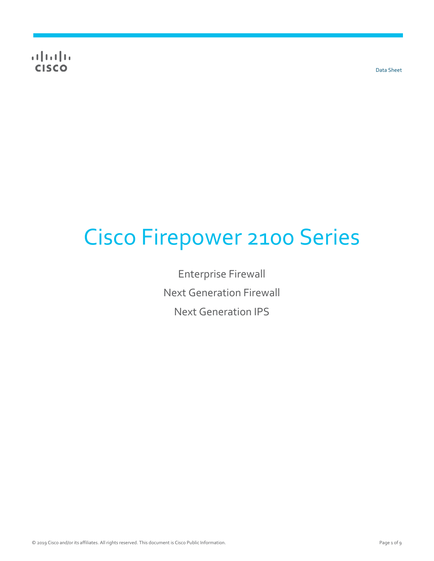$\frac{1}{2} \left( \frac{1}{2} \ln \left( \frac{1}{2} \right) \right)$ **CISCO** 

Data Sheet

# Cisco Firepower 2100 Series

Enterprise Firewall Next Generation Firewall Next Generation IPS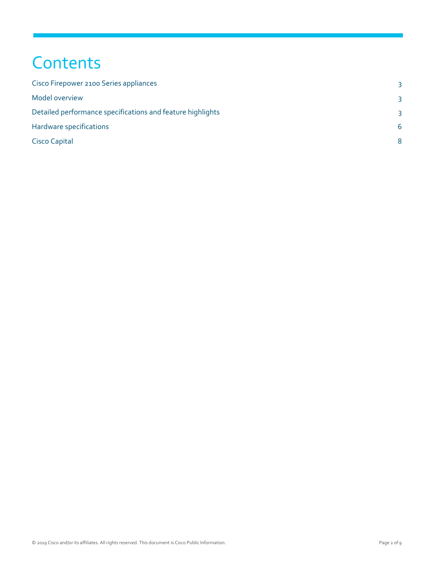## **Contents**

| Cisco Firepower 2100 Series appliances                     | 3            |
|------------------------------------------------------------|--------------|
| Model overview                                             | 3            |
| Detailed performance specifications and feature highlights | 3            |
| Hardware specifications                                    | 6            |
| Cisco Capital                                              | $\mathsf{R}$ |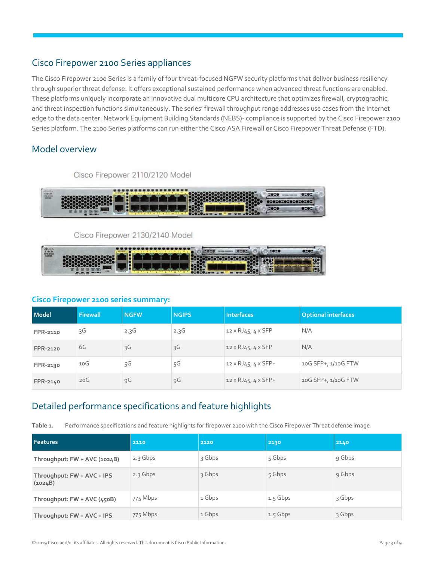## <span id="page-2-0"></span>Cisco Firepower 2100 Series appliances

The Cisco Firepower 2100 Series is a family of four threat-focused NGFW security platforms that deliver business resiliency through superior threat defense. It offers exceptional sustained performance when advanced threat functions are enabled. These platforms uniquely incorporate an innovative dual multicore CPU architecture that optimizes firewall, cryptographic, and threat inspection functions simultaneously. The series' firewall throughput range addresses use cases from the Internet edge to the data center. Network Equipment Building Standards (NEBS)- compliance is supported by the Cisco Firepower 2100 Series platform. The 2100 Series platforms can run either the Cisco ASA Firewall or Cisco Firepower Threat Defense (FTD).

## <span id="page-2-1"></span>Model overview

Cisco Firepower 2110/2120 Model

| 10.41<br><b>CHCO</b> |   | <b>THE MAIL</b><br><b>Line College College College</b> | т | <b>MORGE</b> |
|----------------------|---|--------------------------------------------------------|---|--------------|
|                      | m |                                                        |   | <b>ARGE</b>  |

Cisco Firepower 2130/2140 Model



#### **Cisco Firepower 2100 series summary:**

| Model           | Firewall        | <b>NGFW</b> | <b>NGIPS</b> | <b>Interfaces</b>                  | <b>Optional interfaces</b> |
|-----------------|-----------------|-------------|--------------|------------------------------------|----------------------------|
| FPR-2110        | 3G              | 2.3G        | 2.3G         | $12 \times RJ45$ , $4 \times SFP$  | N/A                        |
| <b>FPR-2120</b> | 6G              | Ŗ           | Rς           | $12 \times R$ J $45, 4 \times SFP$ | N/A                        |
| FPR-2130        | 10 <sup>G</sup> | 5G          | 5G           | $12 \times RJ45, 4 \times SFP+$    | 10G SFP+, 1/10G FTW        |
| FPR-2140        | 20G             | 9G          | 9G           | $12 \times RJ45, 4 \times SFP+$    | 10G SFP+, 1/10G FTW        |

## <span id="page-2-2"></span>Detailed performance specifications and feature highlights

**Table 1.** Performance specifications and feature highlights for firepower 2100 with the Cisco Firepower Threat defense image

| <b>Features</b>                       | 2110       | 2120   | 2130       | 2140   |
|---------------------------------------|------------|--------|------------|--------|
| Throughput: FW + AVC (1024B)          | 2.3 Gbps   | 3 Gbps | $5$ Gbps   | 9 Gbps |
| Throughput: FW + AVC + IPS<br>(1024B) | $2.3$ Gbps | 3 Gbps | $5$ Gbps   | 9 Gbps |
| Throughput: FW + AVC (450B)           | 775 Mbps   | 1 Gbps | $1.5$ Gbps | 3 Gbps |
| Throughput: FW + AVC + IPS            | 775 Mbps   | 1 Gbps | $1.5$ Gbps | 3 Gbps |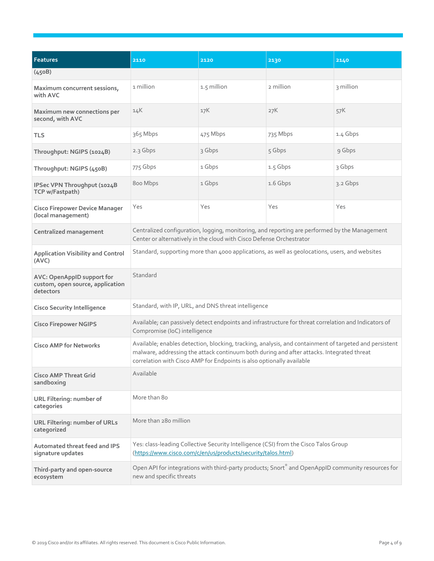| <b>Features</b>                                                             | 2110                                                                                                                                                                                                                                                                         | 2120        | 2130                                                                                              | 2140      |  |
|-----------------------------------------------------------------------------|------------------------------------------------------------------------------------------------------------------------------------------------------------------------------------------------------------------------------------------------------------------------------|-------------|---------------------------------------------------------------------------------------------------|-----------|--|
| (450B)                                                                      |                                                                                                                                                                                                                                                                              |             |                                                                                                   |           |  |
| Maximum concurrent sessions,<br>with AVC                                    | 1 million                                                                                                                                                                                                                                                                    | 1.5 million | 2 million                                                                                         | 3 million |  |
| Maximum new connections per<br>second, with AVC                             | 14K                                                                                                                                                                                                                                                                          | 17K         | 27K                                                                                               | 57K       |  |
| <b>TLS</b>                                                                  | 365 Mbps                                                                                                                                                                                                                                                                     | 475 Mbps    | 735 Mbps                                                                                          | 1.4 Gbps  |  |
| Throughput: NGIPS (1024B)                                                   | 2.3 Gbps                                                                                                                                                                                                                                                                     | 3 Gbps      | 5 Gbps                                                                                            | 9 Gbps    |  |
| Throughput: NGIPS (450B)                                                    | 775 Gbps                                                                                                                                                                                                                                                                     | 1 Gbps      | 1.5 Gbps                                                                                          | 3 Gbps    |  |
| IPSec VPN Throughput (1024B<br>TCP w/Fastpath)                              | 800 Mbps                                                                                                                                                                                                                                                                     | 1 Gbps      | 1.6 Gbps                                                                                          | 3.2 Gbps  |  |
| <b>Cisco Firepower Device Manager</b><br>(local management)                 | Yes                                                                                                                                                                                                                                                                          | Yes         | Yes                                                                                               | Yes       |  |
| <b>Centralized management</b>                                               | Centralized configuration, logging, monitoring, and reporting are performed by the Management<br>Center or alternatively in the cloud with Cisco Defense Orchestrator                                                                                                        |             |                                                                                                   |           |  |
| <b>Application Visibility and Control</b><br>(AVC)                          | Standard, supporting more than 4000 applications, as well as geolocations, users, and websites                                                                                                                                                                               |             |                                                                                                   |           |  |
| AVC: OpenAppID support for<br>custom, open source, application<br>detectors | Standard                                                                                                                                                                                                                                                                     |             |                                                                                                   |           |  |
| <b>Cisco Security Intelligence</b>                                          | Standard, with IP, URL, and DNS threat intelligence                                                                                                                                                                                                                          |             |                                                                                                   |           |  |
| <b>Cisco Firepower NGIPS</b>                                                | Available; can passively detect endpoints and infrastructure for threat correlation and Indicators of<br>Compromise (IoC) intelligence                                                                                                                                       |             |                                                                                                   |           |  |
| <b>Cisco AMP for Networks</b>                                               | Available; enables detection, blocking, tracking, analysis, and containment of targeted and persistent<br>malware, addressing the attack continuum both during and after attacks. Integrated threat<br>correlation with Cisco AMP for Endpoints is also optionally available |             |                                                                                                   |           |  |
| <b>Cisco AMP Threat Grid</b><br>sandboxing                                  | Available                                                                                                                                                                                                                                                                    |             |                                                                                                   |           |  |
| URL Filtering: number of<br>categories                                      | More than 80                                                                                                                                                                                                                                                                 |             |                                                                                                   |           |  |
| <b>URL Filtering: number of URLs</b><br>categorized                         | More than 280 million                                                                                                                                                                                                                                                        |             |                                                                                                   |           |  |
| Automated threat feed and IPS<br>signature updates                          | Yes: class-leading Collective Security Intelligence (CSI) from the Cisco Talos Group<br>(https://www.cisco.com/c/en/us/products/security/talos.html)                                                                                                                         |             |                                                                                                   |           |  |
| Third-party and open-source<br>ecosystem                                    | new and specific threats                                                                                                                                                                                                                                                     |             | Open API for integrations with third-party products; Snort® and OpenAppID community resources for |           |  |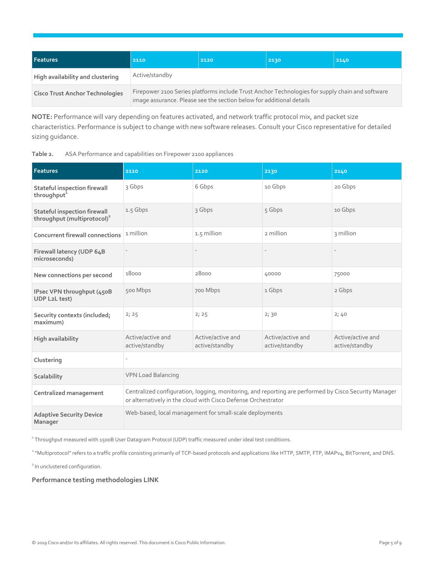| <b>Features</b>                        | 2110                                                                                                                                                                    | 2120 | 2130 | 2140 |  |
|----------------------------------------|-------------------------------------------------------------------------------------------------------------------------------------------------------------------------|------|------|------|--|
| High availability and clustering       | Active/standby                                                                                                                                                          |      |      |      |  |
| <b>Cisco Trust Anchor Technologies</b> | Firepower 2100 Series platforms include Trust Anchor Technologies for supply chain and software<br>image assurance. Please see the section below for additional details |      |      |      |  |

**NOTE:** Performance will vary depending on features activated, and network traffic protocol mix, and packet size characteristics. Performance is subject to change with new software releases. Consult your Cisco representative for detailed sizing guidance.

| ASA Performance and capabilities on Firepower 2100 appliances<br>Table 2. |  |
|---------------------------------------------------------------------------|--|
|---------------------------------------------------------------------------|--|

| <b>Features</b>                                                                | 2110                                                                                                                                                                   | 2120                                                    | 2130                                | 2140                                |  |
|--------------------------------------------------------------------------------|------------------------------------------------------------------------------------------------------------------------------------------------------------------------|---------------------------------------------------------|-------------------------------------|-------------------------------------|--|
| Stateful inspection firewall<br>throughput <sup>1</sup>                        | 3 Gbps                                                                                                                                                                 | 6 Gbps                                                  | 10 Gbps                             | 20 Gbps                             |  |
| <b>Stateful inspection firewall</b><br>throughput (multiprotocol) <sup>2</sup> | 1.5 Gbps                                                                                                                                                               | 3 Gbps                                                  | 5 Gbps                              | 10 Gbps                             |  |
| <b>Concurrent firewall connections</b>                                         | 1 million                                                                                                                                                              | 1.5 million                                             | 2 million                           | 3 million                           |  |
| Firewall latency (UDP 64B<br>microseconds)                                     |                                                                                                                                                                        |                                                         |                                     |                                     |  |
| New connections per second                                                     | 18000                                                                                                                                                                  | 28000                                                   | 40000                               | 75000                               |  |
| IPsec VPN throughput (450B<br>UDP L2L test)                                    | 500 Mbps                                                                                                                                                               | 700 Mbps                                                | 1 Gbps                              | 2 Gbps                              |  |
| Security contexts (included;<br>maximum)                                       | 2; 25                                                                                                                                                                  | 2; 25                                                   | 2; 30                               | 2;40                                |  |
| <b>High availability</b>                                                       | Active/active and<br>active/standby                                                                                                                                    | Active/active and<br>active/standby                     | Active/active and<br>active/standby | Active/active and<br>active/standby |  |
| Clustering                                                                     |                                                                                                                                                                        |                                                         |                                     |                                     |  |
| Scalability                                                                    | <b>VPN Load Balancing</b>                                                                                                                                              |                                                         |                                     |                                     |  |
| Centralized management                                                         | Centralized configuration, logging, monitoring, and reporting are performed by Cisco Security Manager<br>or alternatively in the cloud with Cisco Defense Orchestrator |                                                         |                                     |                                     |  |
| <b>Adaptive Security Device</b><br>Manager                                     |                                                                                                                                                                        | Web-based, local management for small-scale deployments |                                     |                                     |  |

1 Throughput measured with 1500B User Datagram Protocol (UDP) traffic measured under ideal test conditions.

<sup>2</sup> "Multiprotocol" refers to a traffic profile consisting primarily of TCP-based protocols and applications like HTTP, SMTP, FTP, IMAPv4, BitTorrent, and DNS.

<sup>3</sup> In unclustered configuration.

#### **Performance testing methodologies LINK**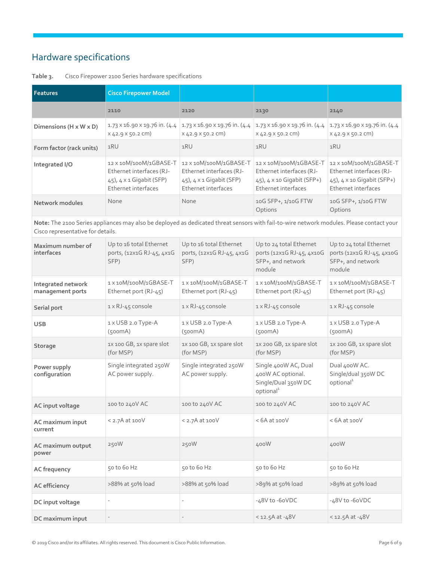## <span id="page-5-0"></span>Hardware specifications

| <b>Features</b>                      | <b>Cisco Firepower Model</b>                                                                                     |                                                                                                                  |                                                                                                                                |                                                                                                                    |
|--------------------------------------|------------------------------------------------------------------------------------------------------------------|------------------------------------------------------------------------------------------------------------------|--------------------------------------------------------------------------------------------------------------------------------|--------------------------------------------------------------------------------------------------------------------|
|                                      | 2110                                                                                                             | 2120                                                                                                             | 2130                                                                                                                           | 2140                                                                                                               |
| Dimensions ( $H \times W \times D$ ) | $X$ 42.9 $X$ 50.2 CM)                                                                                            | $X$ 42.9 $X$ 50.2 CM)                                                                                            | $1.73 \times 16.90 \times 19.76$ in. (4.4 1.73 x 16.90 x 19.76 in. (4.4 1.73 x 16.90 x 19.76 in. (4.4<br>$X$ 42.9 $X$ 50.2 CM) | $1.73 \times 16.90 \times 19.76$ in. (4.4<br>$X$ 42.9 $X$ 50.2 CM)                                                 |
| Form factor (rack units)             | 1RU                                                                                                              | 1RU                                                                                                              | 1RU                                                                                                                            | 1RU                                                                                                                |
| Integrated I/O                       | 12 x 10M/100M/1GBASE-T<br>Ethernet interfaces (RJ-<br>$(45)$ , $4 \times 1$ Gigabit (SFP)<br>Ethernet interfaces | 12 x 10M/100M/1GBASE-T<br>Ethernet interfaces (RJ-<br>$(45)$ , $4 \times 1$ Gigabit (SFP)<br>Ethernet interfaces | 12 X 10M/100M/1GBASE-T<br>Ethernet interfaces (RJ-<br>$(45)$ , $4 \times 10$ Gigabit (SFP+)<br>Ethernet interfaces             | 12 X 10M/100M/1GBASE-T<br>Ethernet interfaces (RJ-<br>$(45)$ , $4 \times 10$ Gigabit (SFP+)<br>Ethernet interfaces |
| Network modules                      | <b>None</b>                                                                                                      | None                                                                                                             | 10G SFP+, 1/10G FTW<br>Options                                                                                                 | 10G SFP+, 1/10G FTW<br>Options                                                                                     |

#### **Table 3.** Cisco Firepower 2100 Series hardware specifications

**Note:** The 2100 Series appliances may also be deployed as dedicated threat sensors with fail-to-wire network modules. Please contact your Cisco representative for details.

| Maximum number of<br>interfaces        | Up to 16 total Ethernet<br>ports, (12x1G RJ-45, 4x1G<br>SFP) | Up to 16 total Ethernet<br>ports, (12x1G RJ-45, 4x1G<br>SFP) | Up to 24 total Ethernet<br>ports (12x1G RJ-45, 4x10G<br>SFP+, and network<br>module       | Up to 24 total Ethernet<br>ports (12x1G RJ-45, 4x10G<br>SFP+, and network<br>module |
|----------------------------------------|--------------------------------------------------------------|--------------------------------------------------------------|-------------------------------------------------------------------------------------------|-------------------------------------------------------------------------------------|
| Integrated network<br>management ports | 1 x 10M/100M/1GBASE-T<br>Ethernet port (RJ-45)               | 1 x 10M/100M/1GBASE-T<br>Ethernet port (RJ-45)               | 1X10M/100M/1GBASE-T<br>Ethernet port (RJ-45)                                              | 1X10M/100M/1GBASE-T<br>Ethernet port (RJ-45)                                        |
| Serial port                            | 1 x RJ-45 console                                            | 1 x RJ-45 console                                            | 1 x RJ-45 console                                                                         | 1 x RJ-45 console                                                                   |
| <b>USB</b>                             | 1 x USB 2.0 Type-A<br>(500mA)                                | 1 x USB 2.0 Type-A<br>(500mA)                                | 1 x USB 2.0 Type-A<br>(500mA)                                                             | 1 x USB 2.0 Type-A<br>(500mA)                                                       |
| Storage                                | 1X 100 GB, 1X spare slot<br>(for MSP)                        | 1x 100 GB, 1x spare slot<br>(for MSP)                        | 1X 200 GB, 1X spare slot<br>(for MSP)                                                     | 1X 200 GB, 1X spare slot<br>(for MSP)                                               |
| Power supply<br>configuration          | Single integrated 250W<br>AC power supply.                   | Single integrated 250W<br>AC power supply.                   | Single 400W AC, Dual<br>400W AC optional.<br>Single/Dual 350W DC<br>optional <sup>1</sup> | Dual 400W AC.<br>Single/dual 350W DC<br>optional <sup>1</sup>                       |
| AC input voltage                       | 100 to 240V AC                                               | 100 to 240V AC                                               | 100 to 240V AC                                                                            | 100 to 240V AC                                                                      |
| AC maximum input<br>current            | $<$ 2.7A at 100 $V$                                          | $<$ 2.7A at 100 $V$                                          | $<$ 6A at 100 $V$                                                                         | $<$ 6A at 100 $V$                                                                   |
| AC maximum output<br>power             | 250W                                                         | 250W                                                         | 400W                                                                                      | 400W                                                                                |
| AC frequency                           | 50 to 60 Hz                                                  | 50 to 60 Hz                                                  | 50 to 60 Hz                                                                               | 50 to 60 Hz                                                                         |
| <b>AC</b> efficiency                   | >88% at 50% load                                             | >88% at 50% load                                             | >89% at 50% load                                                                          | >89% at 50% load                                                                    |
| DC input voltage                       |                                                              |                                                              | $-48V$ to $-60VDC$                                                                        | $-48V$ to $-60VDC$                                                                  |
| DC maximum input                       |                                                              |                                                              | $<$ 12.5A at -48V                                                                         | $<$ 12.5A at -48V                                                                   |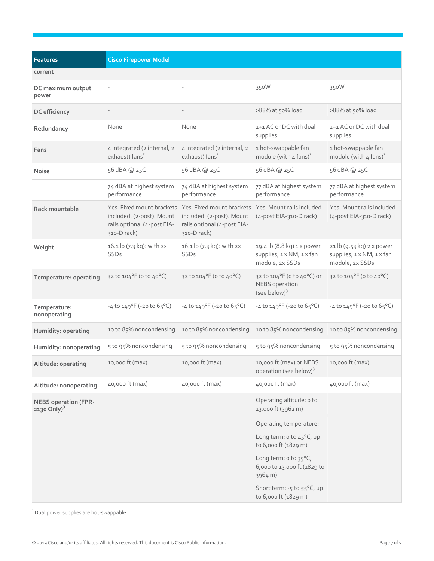| <b>Features</b>                                | <b>Cisco Firepower Model</b>                                            |                                                                                                                                                              |                                                                            |                                                                           |
|------------------------------------------------|-------------------------------------------------------------------------|--------------------------------------------------------------------------------------------------------------------------------------------------------------|----------------------------------------------------------------------------|---------------------------------------------------------------------------|
| current                                        |                                                                         |                                                                                                                                                              |                                                                            |                                                                           |
| DC maximum output<br>power                     |                                                                         |                                                                                                                                                              | 350W                                                                       | 350W                                                                      |
| DC efficiency                                  |                                                                         |                                                                                                                                                              | >88% at 50% load                                                           | >88% at 50% load                                                          |
| Redundancy                                     | None                                                                    | None                                                                                                                                                         | 1+1 AC or DC with dual<br>supplies                                         | 1+1 AC or DC with dual<br>supplies                                        |
| Fans                                           | 4 integrated (2 internal, 2<br>exhaust) fans <sup>2</sup>               | 4 integrated (2 internal, 2<br>exhaust) fans <sup>2</sup>                                                                                                    | 1 hot-swappable fan<br>module (with $4$ fans) <sup>2</sup>                 | 1 hot-swappable fan<br>module (with $4$ fans) <sup>2</sup>                |
| <b>Noise</b>                                   | 56 dBA @ 25C                                                            | 56 dBA @ 25C                                                                                                                                                 | 56 dBA @ 25C                                                               | 56 dBA @ 25C                                                              |
|                                                | 74 dBA at highest system<br>performance.                                | 74 dBA at highest system<br>performance.                                                                                                                     | 77 dBA at highest system<br>performance.                                   | 77 dBA at highest system<br>performance.                                  |
| Rack mountable                                 | included. (2-post). Mount<br>rails optional (4-post EIA-<br>310-D rack) | Yes. Fixed mount brackets   Yes. Fixed mount brackets   Yes. Mount rails included<br>included. (2-post). Mount<br>rails optional (4-post EIA-<br>310-D rack) | $(4$ -post EIA-310-D rack)                                                 | Yes. Mount rails included<br>(4-post EIA-310-D rack)                      |
| Weight                                         | 16.1 lb (7.3 kg): with 2x<br>SSDs                                       | 16.1 lb (7.3 kg): with 2x<br>SSDs                                                                                                                            | 19.4 lb (8.8 kg) 1 x power<br>supplies, 1 x NM, 1 x fan<br>module, 2x SSDs | 21 lb (9.53 kg) 2 x power<br>supplies, 1 x NM, 1 x fan<br>module, 2x SSDs |
| Temperature: operating                         | 32 to 104°F (o to 40°C)                                                 | 32 to 104°F (o to 40°C)                                                                                                                                      | 32 to 104°F (0 to 40°C) or<br>NEBS operation<br>(see below) $3$            | 32 to 104°F (0 to 40°C)                                                   |
| Temperature:<br>nonoperating                   | $-4$ to $149^{\circ}F$ (-20 to 65°C)                                    | $-4$ to $149^{\circ}$ F (-20 to 65°C)                                                                                                                        | $-4$ to $149^{\circ}F$ (-20 to $65^{\circ}C$ )                             | $-4$ to $149^{\circ}F$ (-20 to $65^{\circ}C$ )                            |
| Humidity: operating                            | 10 to 85% noncondensing                                                 | 10 to 85% noncondensing                                                                                                                                      | 10 to 85% noncondensing                                                    | 10 to 85% noncondensing                                                   |
| Humidity: nonoperating                         | 5 to 95% noncondensing                                                  | 5 to 95% noncondensing                                                                                                                                       | 5 to 95% noncondensing                                                     | 5 to 95% noncondensing                                                    |
| Altitude: operating                            | 10,000 ft (max)                                                         | 10,000 ft (max)                                                                                                                                              | 10,000 ft (max) or NEBS<br>operation (see below) <sup>3</sup>              | 10,000 ft (max)                                                           |
| Altitude: nonoperating                         | 40,000 ft (max)                                                         | 40,000 ft (max)                                                                                                                                              | 40,000 ft (max)                                                            | 40,000 ft (max)                                                           |
| <b>NEBS operation (FPR-</b><br>2130 Only $)^3$ |                                                                         |                                                                                                                                                              | Operating altitude: o to<br>13,000 ft (3962 m)                             |                                                                           |
|                                                |                                                                         |                                                                                                                                                              | Operating temperature:                                                     |                                                                           |
|                                                |                                                                         |                                                                                                                                                              | Long term: o to 45°C, up<br>to 6,000 ft (1829 m)                           |                                                                           |
|                                                |                                                                         |                                                                                                                                                              | Long term: o to 35°C,<br>6,000 to 13,000 ft (1829 to<br>3964 m)            |                                                                           |
|                                                |                                                                         |                                                                                                                                                              | Short term: -5 to 55°C, up<br>to 6,000 ft (1829 m)                         |                                                                           |

<sup>1</sup> Dual power supplies are hot-swappable.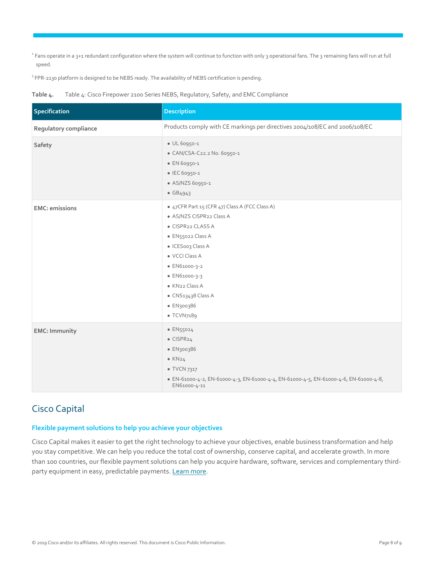<sup>2</sup> Fans operate in a 3+1 redundant configuration where the system will continue to function with only 3 operational fans. The 3 remaining fans will run at full speed.

 $3$  FPR-2130 platform is designed to be NEBS ready. The availability of NEBS certification is pending.

**Table 4.** Table 4: Cisco Firepower 2100 Series NEBS, Regulatory, Safety, and EMC Compliance

| Specification          | <b>Description</b>                                                                                                                                                                                                                                           |
|------------------------|--------------------------------------------------------------------------------------------------------------------------------------------------------------------------------------------------------------------------------------------------------------|
| Regulatory compliance  | Products comply with CE markings per directives 2004/108/EC and 2006/108/EC                                                                                                                                                                                  |
| Safety                 | UL 60950-1<br>CAN/CSA-C22.2 No. 60950-1<br>EN 60950-1<br>IEC 60950-1<br>AS/NZS 60950-1<br>GB4943                                                                                                                                                             |
| <b>EMC</b> : emissions | 47CFR Part 15 (CFR 47) Class A (FCC Class A)<br>AS/NZS CISPR22 Class A<br>CISPR22 CLASS A<br>EN55022 Class A<br>ICES003 Class A<br><b>VCCI Class A</b><br>EN61000-3-2<br>EN61000-3-3<br>KN <sub>22</sub> Class A<br>CNS13438 Class A<br>EN300386<br>TCVN7189 |
| <b>EMC: Immunity</b>   | EN55024<br>CISPR <sub>24</sub><br>EN300386<br>KN24<br><b>TVCN 7317</b><br>EN-61000-4-2, EN-61000-4-3, EN-61000-4-4, EN-61000-4-5, EN-61000-4-6, EN-61000-4-8,<br>EN61000-4-11                                                                                |

## <span id="page-7-0"></span>Cisco Capital

#### **Flexible payment solutions to help you achieve your objectives**

Cisco Capital makes it easier to get the right technology to achieve your objectives, enable business transformation and help you stay competitive. We can help you reduce the total cost of ownership, conserve capital, and accelerate growth. In more than 100 countries, our flexible payment solutions can help you acquire hardware, software, services and complementary third-party equipment in easy, predictable payments. [Learn more.](https://www.cisco.com/go/financing)